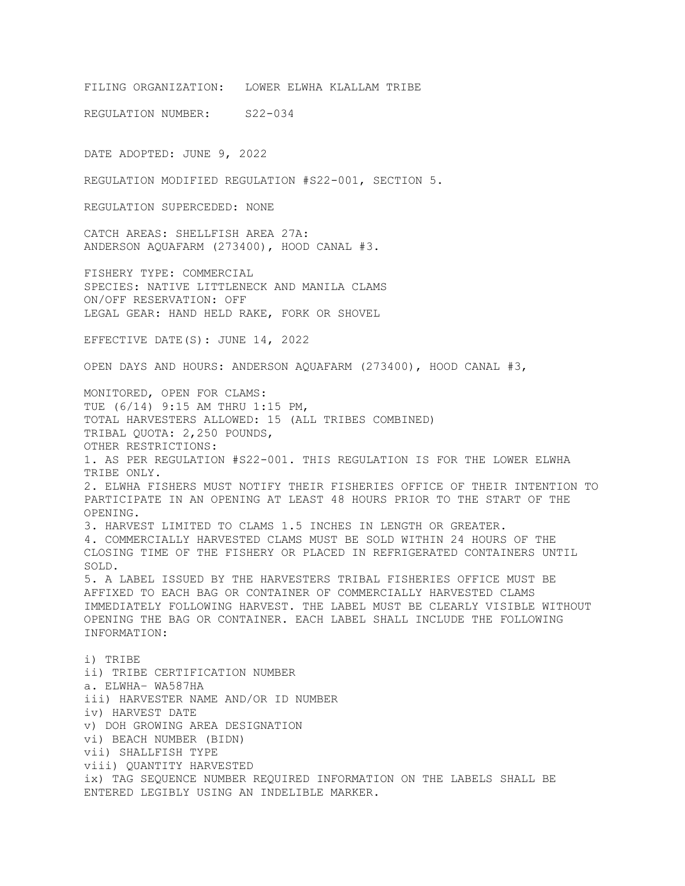FILING ORGANIZATION: LOWER ELWHA KLALLAM TRIBE

REGULATION NUMBER: S22-034

DATE ADOPTED: JUNE 9, 2022

REGULATION MODIFIED REGULATION #S22-001, SECTION 5.

REGULATION SUPERCEDED: NONE

CATCH AREAS: SHELLFISH AREA 27A: ANDERSON AQUAFARM (273400), HOOD CANAL #3.

FISHERY TYPE: COMMERCIAL SPECIES: NATIVE LITTLENECK AND MANILA CLAMS ON/OFF RESERVATION: OFF LEGAL GEAR: HAND HELD RAKE, FORK OR SHOVEL

EFFECTIVE DATE(S): JUNE 14, 2022

OPEN DAYS AND HOURS: ANDERSON AQUAFARM (273400), HOOD CANAL #3,

MONITORED, OPEN FOR CLAMS: TUE (6/14) 9:15 AM THRU 1:15 PM, TOTAL HARVESTERS ALLOWED: 15 (ALL TRIBES COMBINED) TRIBAL QUOTA: 2,250 POUNDS, OTHER RESTRICTIONS: 1. AS PER REGULATION #S22-001. THIS REGULATION IS FOR THE LOWER ELWHA TRIBE ONLY. 2. ELWHA FISHERS MUST NOTIFY THEIR FISHERIES OFFICE OF THEIR INTENTION TO PARTICIPATE IN AN OPENING AT LEAST 48 HOURS PRIOR TO THE START OF THE OPENING. 3. HARVEST LIMITED TO CLAMS 1.5 INCHES IN LENGTH OR GREATER. 4. COMMERCIALLY HARVESTED CLAMS MUST BE SOLD WITHIN 24 HOURS OF THE CLOSING TIME OF THE FISHERY OR PLACED IN REFRIGERATED CONTAINERS UNTIL SOLD. 5. A LABEL ISSUED BY THE HARVESTERS TRIBAL FISHERIES OFFICE MUST BE AFFIXED TO EACH BAG OR CONTAINER OF COMMERCIALLY HARVESTED CLAMS IMMEDIATELY FOLLOWING HARVEST. THE LABEL MUST BE CLEARLY VISIBLE WITHOUT OPENING THE BAG OR CONTAINER. EACH LABEL SHALL INCLUDE THE FOLLOWING INFORMATION: i) TRIBE ii) TRIBE CERTIFICATION NUMBER a. ELWHA– WA587HA iii) HARVESTER NAME AND/OR ID NUMBER iv) HARVEST DATE v) DOH GROWING AREA DESIGNATION vi) BEACH NUMBER (BIDN) vii) SHALLFISH TYPE viii) QUANTITY HARVESTED ix) TAG SEQUENCE NUMBER REQUIRED INFORMATION ON THE LABELS SHALL BE ENTERED LEGIBLY USING AN INDELIBLE MARKER.